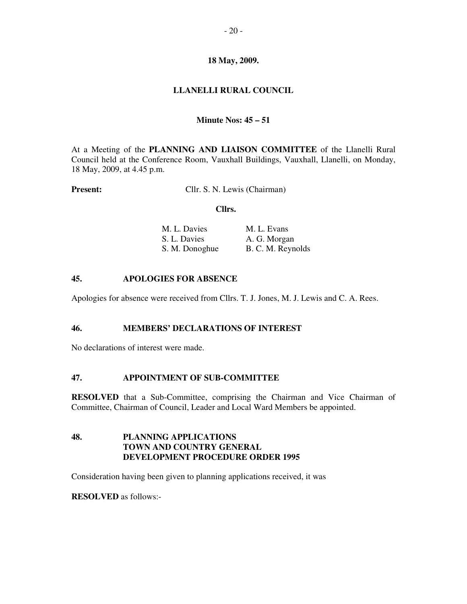# **18 May, 2009.**

# **LLANELLI RURAL COUNCIL**

### **Minute Nos: 45 – 51**

At a Meeting of the **PLANNING AND LIAISON COMMITTEE** of the Llanelli Rural Council held at the Conference Room, Vauxhall Buildings, Vauxhall, Llanelli, on Monday, 18 May, 2009, at 4.45 p.m.

**Present:** Cllr. S. N. Lewis (Chairman)

#### **Cllrs.**

| M. L. Davies   | M. L. Evans       |
|----------------|-------------------|
| S. L. Davies   | A. G. Morgan      |
| S. M. Donoghue | B. C. M. Reynolds |

### **45. APOLOGIES FOR ABSENCE**

Apologies for absence were received from Cllrs. T. J. Jones, M. J. Lewis and C. A. Rees.

#### **46. MEMBERS' DECLARATIONS OF INTEREST**

No declarations of interest were made.

### **47. APPOINTMENT OF SUB-COMMITTEE**

**RESOLVED** that a Sub-Committee, comprising the Chairman and Vice Chairman of Committee, Chairman of Council, Leader and Local Ward Members be appointed.

# **48. PLANNING APPLICATIONS TOWN AND COUNTRY GENERAL DEVELOPMENT PROCEDURE ORDER 1995**

Consideration having been given to planning applications received, it was

#### **RESOLVED** as follows:-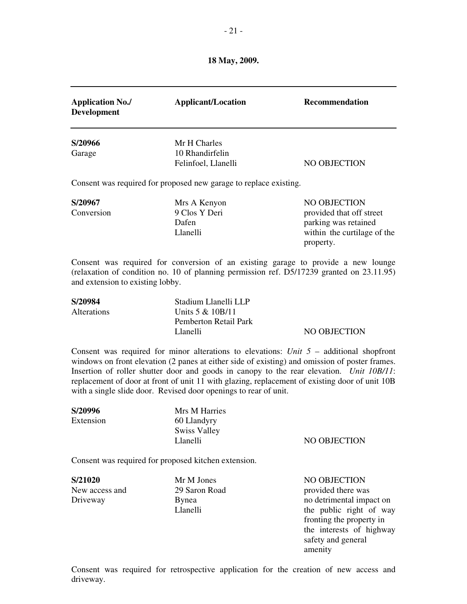**18 May, 2009.** 

| <b>Application No./</b><br><b>Development</b>                                                                                                                                                                                                                                                                                                                                                                                                                 | <b>Applicant/Location</b>                                                     | <b>Recommendation</b>                                                                                        |  |
|---------------------------------------------------------------------------------------------------------------------------------------------------------------------------------------------------------------------------------------------------------------------------------------------------------------------------------------------------------------------------------------------------------------------------------------------------------------|-------------------------------------------------------------------------------|--------------------------------------------------------------------------------------------------------------|--|
| S/20966<br>Garage                                                                                                                                                                                                                                                                                                                                                                                                                                             | Mr H Charles<br>10 Rhandirfelin<br>Felinfoel, Llanelli                        | NO OBJECTION                                                                                                 |  |
| Consent was required for proposed new garage to replace existing.                                                                                                                                                                                                                                                                                                                                                                                             |                                                                               |                                                                                                              |  |
| S/20967<br>Conversion                                                                                                                                                                                                                                                                                                                                                                                                                                         | Mrs A Kenyon<br>9 Clos Y Deri<br>Dafen<br>Llanelli                            | NO OBJECTION<br>provided that off street<br>parking was retained<br>within the curtilage of the<br>property. |  |
| Consent was required for conversion of an existing garage to provide a new lounge<br>(relaxation of condition no. 10 of planning permission ref. D5/17239 granted on 23.11.95)<br>and extension to existing lobby.                                                                                                                                                                                                                                            |                                                                               |                                                                                                              |  |
| S/20984<br>Alterations                                                                                                                                                                                                                                                                                                                                                                                                                                        | Stadium Llanelli LLP<br>Units 5 & 10B/11<br>Pemberton Retail Park<br>Llanelli | NO OBJECTION                                                                                                 |  |
| Consent was required for minor alterations to elevations: Unit $5$ – additional shopfront<br>windows on front elevation (2 panes at either side of existing) and omission of poster frames.<br>Insertion of roller shutter door and goods in canopy to the rear elevation. Unit 10B/11:<br>replacement of door at front of unit 11 with glazing, replacement of existing door of unit 10B<br>with a single slide door. Revised door openings to rear of unit. |                                                                               |                                                                                                              |  |
| S/20996<br>Extension                                                                                                                                                                                                                                                                                                                                                                                                                                          | Mrs M Harries<br>60 Llandyry<br><b>Swiss Valley</b><br>Llanelli               | NO OBJECTION                                                                                                 |  |
| Consent was required for proposed kitchen extension.                                                                                                                                                                                                                                                                                                                                                                                                          |                                                                               |                                                                                                              |  |
| S/21020<br>New access and<br>Driveway                                                                                                                                                                                                                                                                                                                                                                                                                         | Mr M Jones<br>29 Saron Road<br><b>Bynea</b><br>Llanelli                       | NO OBJECTION<br>provided there was<br>no detrimental impact on<br>the public right of way                    |  |

Consent was required for retrospective application for the creation of new access and driveway.

safety and general

amenity

 fronting the property in the interests of highway